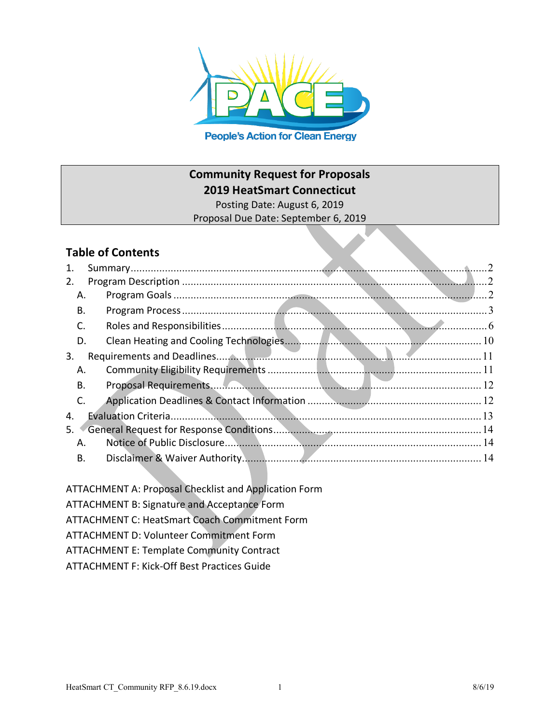

**Community Request for Proposals**

**2019 HeatSmart Connecticut**

Posting Date: August 6, 2019 Proposal Due Date: September 6, 2019

# **Table of Contents**

| 1. |                |
|----|----------------|
| 2. | $\overline{2}$ |
| Α. | $\mathcal{L}$  |
| В. |                |
| C. |                |
| D. |                |
| 3. | -11            |
| Α. |                |
| В. |                |
| C. |                |
| 4. |                |
| 5. |                |
| А. | - 14           |
| В. |                |

ATTACHMENT A: Proposal Checklist and Application Form

ATTACHMENT B: Signature and Acceptance Form

ATTACHMENT C: HeatSmart Coach Commitment Form

ATTACHMENT D: Volunteer Commitment Form

ATTACHMENT E: Template Community Contract

ATTACHMENT F: Kick-Off Best Practices Guide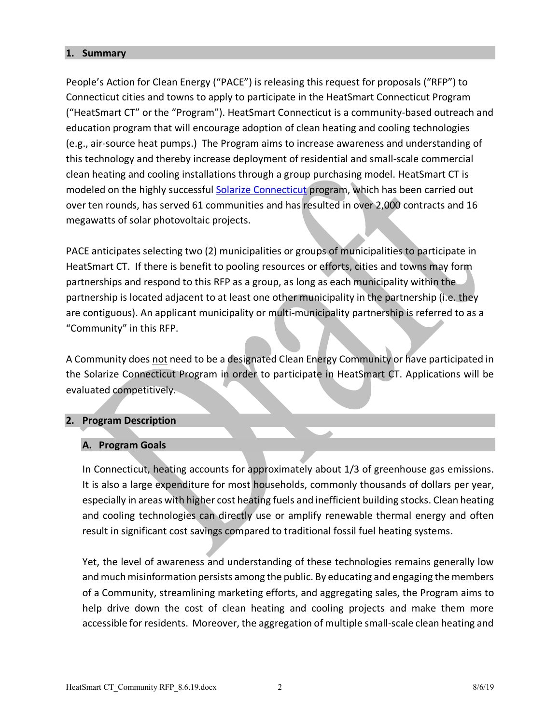#### **1. Summary**

People's Action for Clean Energy ("PACE") is releasing this request for proposals ("RFP") to Connecticut cities and towns to apply to participate in the HeatSmart Connecticut Program ("HeatSmart CT" or the "Program"). HeatSmart Connecticut is a community-based outreach and education program that will encourage adoption of clean heating and cooling technologies (e.g., air-source heat pumps.) The Program aims to increase awareness and understanding of this technology and thereby increase deployment of residential and small-scale commercial clean heating and cooling installations through a group purchasing model. HeatSmart CT is modeled on the highly successful Solarize Connecticut program, which has been carried out over ten rounds, has served 61 communities and has resulted in over 2,000 contracts and 16 megawatts of solar photovoltaic projects.

PACE anticipates selecting two (2) municipalities or groups of municipalities to participate in HeatSmart CT. If there is benefit to pooling resources or efforts, cities and towns may form partnerships and respond to this RFP as a group, as long as each municipality within the partnership is located adjacent to at least one other municipality in the partnership (i.e. they are contiguous). An applicant municipality or multi-municipality partnership is referred to as a "Community" in this RFP.

A Community does not need to be a designated Clean Energy Community or have participated in the Solarize Connecticut Program in order to participate in HeatSmart CT. Applications will be evaluated competitively.

### **2. Program Description**

### **A. Program Goals**

In Connecticut, heating accounts for approximately about 1/3 of greenhouse gas emissions. It is also a large expenditure for most households, commonly thousands of dollars per year, especially in areas with higher cost heating fuels and inefficient building stocks. Clean heating and cooling technologies can directly use or amplify renewable thermal energy and often result in significant cost savings compared to traditional fossil fuel heating systems.

Yet, the level of awareness and understanding of these technologies remains generally low and much misinformation persists among the public. By educating and engaging the members of a Community, streamlining marketing efforts, and aggregating sales, the Program aims to help drive down the cost of clean heating and cooling projects and make them more accessible for residents. Moreover, the aggregation of multiple small-scale clean heating and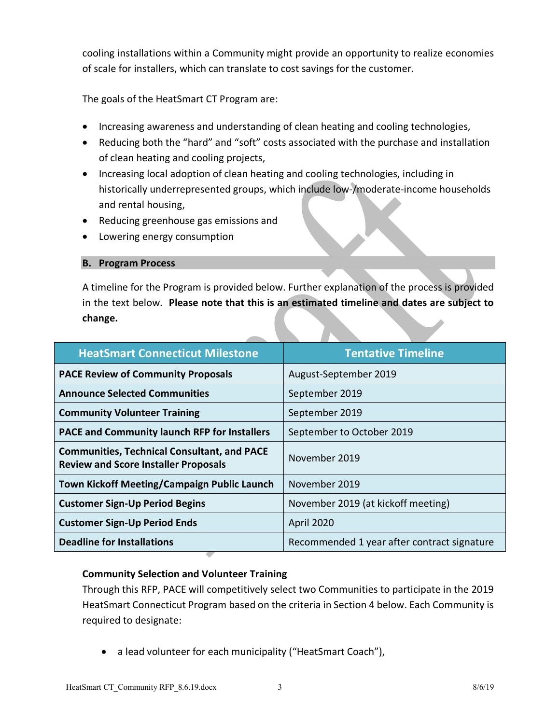cooling installations within a Community might provide an opportunity to realize economies of scale for installers, which can translate to cost savings for the customer.

The goals of the HeatSmart CT Program are:

- Increasing awareness and understanding of clean heating and cooling technologies,
- Reducing both the "hard" and "soft" costs associated with the purchase and installation of clean heating and cooling projects,
- Increasing local adoption of clean heating and cooling technologies, including in historically underrepresented groups, which include low-/moderate-income households and rental housing,
- Reducing greenhouse gas emissions and
- Lowering energy consumption

### **B. Program Process**

A timeline for the Program is provided below. Further explanation of the process is provided in the text below. **Please note that this is an estimated timeline and dates are subject to change.**

| <b>HeatSmart Connecticut Milestone</b>                                                            | <b>Tentative Timeline</b>                   |
|---------------------------------------------------------------------------------------------------|---------------------------------------------|
| <b>PACE Review of Community Proposals</b>                                                         | August-September 2019                       |
| <b>Announce Selected Communities</b>                                                              | September 2019                              |
| <b>Community Volunteer Training</b>                                                               | September 2019                              |
| PACE and Community launch RFP for Installers                                                      | September to October 2019                   |
| <b>Communities, Technical Consultant, and PACE</b><br><b>Review and Score Installer Proposals</b> | November 2019                               |
| <b>Town Kickoff Meeting/Campaign Public Launch</b>                                                | November 2019                               |
| <b>Customer Sign-Up Period Begins</b>                                                             | November 2019 (at kickoff meeting)          |
| <b>Customer Sign-Up Period Ends</b>                                                               | <b>April 2020</b>                           |
| <b>Deadline for Installations</b>                                                                 | Recommended 1 year after contract signature |

## **Community Selection and Volunteer Training**

Through this RFP, PACE will competitively select two Communities to participate in the 2019 HeatSmart Connecticut Program based on the criteria in Section 4 below. Each Community is required to designate:

• a lead volunteer for each municipality ("HeatSmart Coach"),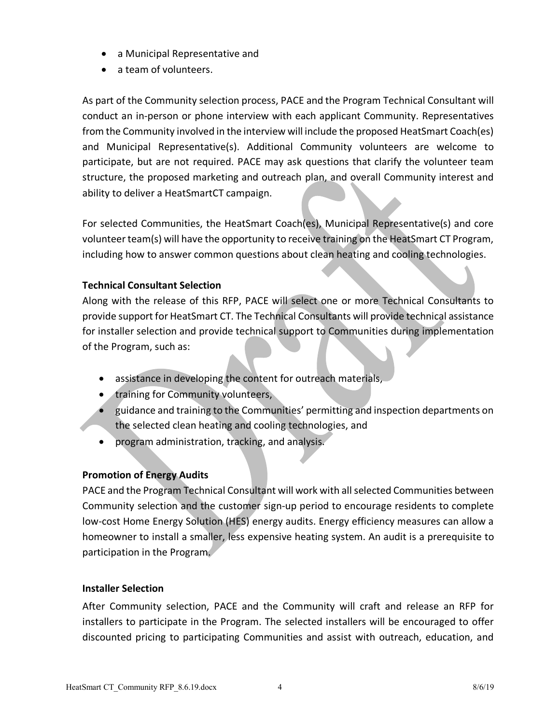- a Municipal Representative and
- a team of volunteers.

As part of the Community selection process, PACE and the Program Technical Consultant will conduct an in-person or phone interview with each applicant Community. Representatives from the Community involved in the interview will include the proposed HeatSmart Coach(es) and Municipal Representative(s). Additional Community volunteers are welcome to participate, but are not required. PACE may ask questions that clarify the volunteer team structure, the proposed marketing and outreach plan, and overall Community interest and ability to deliver a HeatSmartCT campaign.

For selected Communities, the HeatSmart Coach(es), Municipal Representative(s) and core volunteer team(s) will have the opportunity to receive training on the HeatSmart CT Program, including how to answer common questions about clean heating and cooling technologies.

## **Technical Consultant Selection**

Along with the release of this RFP, PACE will select one or more Technical Consultants to provide support for HeatSmart CT. The Technical Consultants will provide technical assistance for installer selection and provide technical support to Communities during implementation of the Program, such as:

- assistance in developing the content for outreach materials,
- training for Community volunteers,
- guidance and training to the Communities' permitting and inspection departments on the selected clean heating and cooling technologies, and
- program administration, tracking, and analysis.

## **Promotion of Energy Audits**

PACE and the Program Technical Consultant will work with all selected Communities between Community selection and the customer sign-up period to encourage residents to complete low-cost Home Energy Solution (HES) energy audits. Energy efficiency measures can allow a homeowner to install a smaller, less expensive heating system. An audit is a prerequisite to participation in the Program.

### **Installer Selection**

After Community selection, PACE and the Community will craft and release an RFP for installers to participate in the Program. The selected installers will be encouraged to offer discounted pricing to participating Communities and assist with outreach, education, and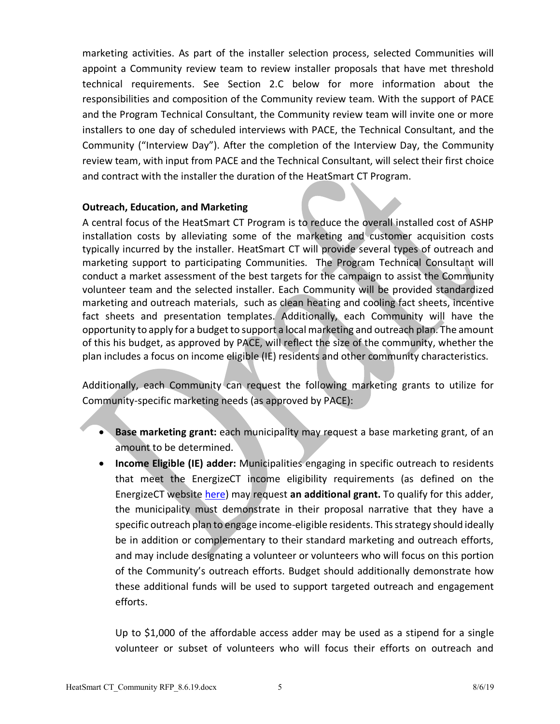marketing activities. As part of the installer selection process, selected Communities will appoint a Community review team to review installer proposals that have met threshold technical requirements. See Section 2.C below for more information about the responsibilities and composition of the Community review team. With the support of PACE and the Program Technical Consultant, the Community review team will invite one or more installers to one day of scheduled interviews with PACE, the Technical Consultant, and the Community ("Interview Day"). After the completion of the Interview Day, the Community review team, with input from PACE and the Technical Consultant, will select their first choice and contract with the installer the duration of the HeatSmart CT Program.

### **Outreach, Education, and Marketing**

A central focus of the HeatSmart CT Program is to reduce the overall installed cost of ASHP installation costs by alleviating some of the marketing and customer acquisition costs typically incurred by the installer. HeatSmart CT will provide several types of outreach and marketing support to participating Communities. The Program Technical Consultant will conduct a market assessment of the best targets for the campaign to assist the Community volunteer team and the selected installer. Each Community will be provided standardized marketing and outreach materials, such as clean heating and cooling fact sheets, incentive fact sheets and presentation templates. Additionally, each Community will have the opportunity to apply for a budget to support a local marketing and outreach plan. The amount of this his budget, as approved by PACE, will reflect the size of the community, whether the plan includes a focus on income eligible (IE) residents and other community characteristics.

Additionally, each Community can request the following marketing grants to utilize for Community-specific marketing needs (as approved by PACE):

- **Base marketing grant:** each municipality may request a base marketing grant, of an amount to be determined.
- **Income Eligible (IE) adder:** Municipalities engaging in specific outreach to residents that meet the EnergizeCT income eligibility requirements (as defined on the EnergizeCT website here) may request **an additional grant.** To qualify for this adder, the municipality must demonstrate in their proposal narrative that they have a specific outreach plan to engage income-eligible residents. This strategy should ideally be in addition or complementary to their standard marketing and outreach efforts, and may include designating a volunteer or volunteers who will focus on this portion of the Community's outreach efforts. Budget should additionally demonstrate how these additional funds will be used to support targeted outreach and engagement efforts.

Up to \$1,000 of the affordable access adder may be used as a stipend for a single volunteer or subset of volunteers who will focus their efforts on outreach and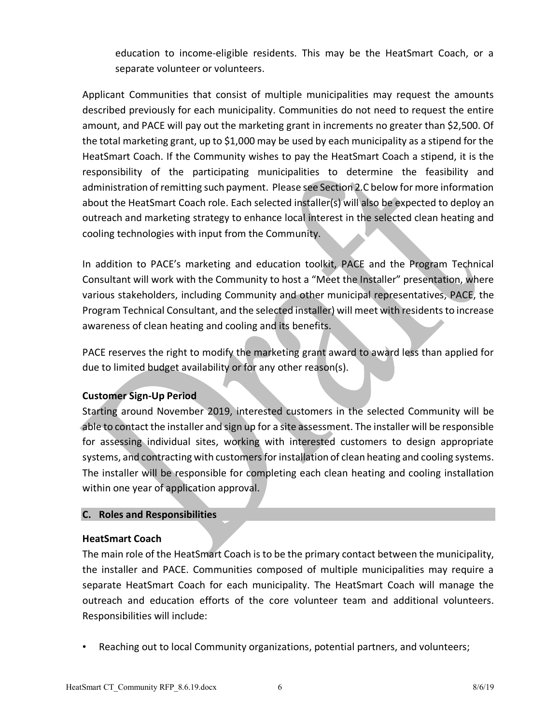education to income-eligible residents. This may be the HeatSmart Coach, or a separate volunteer or volunteers.

Applicant Communities that consist of multiple municipalities may request the amounts described previously for each municipality. Communities do not need to request the entire amount, and PACE will pay out the marketing grant in increments no greater than \$2,500. Of the total marketing grant, up to \$1,000 may be used by each municipality as a stipend for the HeatSmart Coach. If the Community wishes to pay the HeatSmart Coach a stipend, it is the responsibility of the participating municipalities to determine the feasibility and administration of remitting such payment. Please see Section 2.C below for more information about the HeatSmart Coach role. Each selected installer(s) will also be expected to deploy an outreach and marketing strategy to enhance local interest in the selected clean heating and cooling technologies with input from the Community.

In addition to PACE's marketing and education toolkit, PACE and the Program Technical Consultant will work with the Community to host a "Meet the Installer" presentation, where various stakeholders, including Community and other municipal representatives, PACE, the Program Technical Consultant, and the selected installer) will meet with residents to increase awareness of clean heating and cooling and its benefits.

PACE reserves the right to modify the marketing grant award to award less than applied for due to limited budget availability or for any other reason(s).

## **Customer Sign-Up Period**

Starting around November 2019, interested customers in the selected Community will be able to contact the installer and sign up for a site assessment. The installer will be responsible for assessing individual sites, working with interested customers to design appropriate systems, and contracting with customers for installation of clean heating and cooling systems. The installer will be responsible for completing each clean heating and cooling installation within one year of application approval.

## **C. Roles and Responsibilities**

## **HeatSmart Coach**

The main role of the HeatSmart Coach is to be the primary contact between the municipality, the installer and PACE. Communities composed of multiple municipalities may require a separate HeatSmart Coach for each municipality. The HeatSmart Coach will manage the outreach and education efforts of the core volunteer team and additional volunteers. Responsibilities will include:

• Reaching out to local Community organizations, potential partners, and volunteers;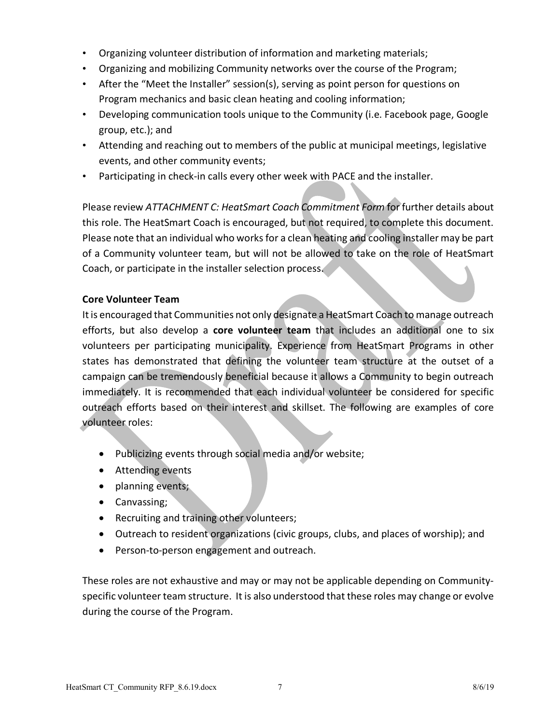- Organizing volunteer distribution of information and marketing materials;
- Organizing and mobilizing Community networks over the course of the Program;
- After the "Meet the Installer" session(s), serving as point person for questions on Program mechanics and basic clean heating and cooling information;
- Developing communication tools unique to the Community (i.e. Facebook page, Google group, etc.); and
- Attending and reaching out to members of the public at municipal meetings, legislative events, and other community events;
- Participating in check-in calls every other week with PACE and the installer.

Please review *ATTACHMENT C: HeatSmart Coach Commitment Form* for further details about this role. The HeatSmart Coach is encouraged, but not required, to complete this document. Please note that an individual who works for a clean heating and cooling installer may be part of a Community volunteer team, but will not be allowed to take on the role of HeatSmart Coach, or participate in the installer selection process.

## **Core Volunteer Team**

It is encouraged that Communities not only designate a HeatSmart Coach to manage outreach efforts, but also develop a **core volunteer team** that includes an additional one to six volunteers per participating municipality. Experience from HeatSmart Programs in other states has demonstrated that defining the volunteer team structure at the outset of a campaign can be tremendously beneficial because it allows a Community to begin outreach immediately. It is recommended that each individual volunteer be considered for specific outreach efforts based on their interest and skillset. The following are examples of core volunteer roles:

- Publicizing events through social media and/or website;
- Attending events
- planning events;
- Canvassing;
- Recruiting and training other volunteers;
- Outreach to resident organizations (civic groups, clubs, and places of worship); and
- Person-to-person engagement and outreach.

These roles are not exhaustive and may or may not be applicable depending on Communityspecific volunteer team structure. It is also understood that these roles may change or evolve during the course of the Program.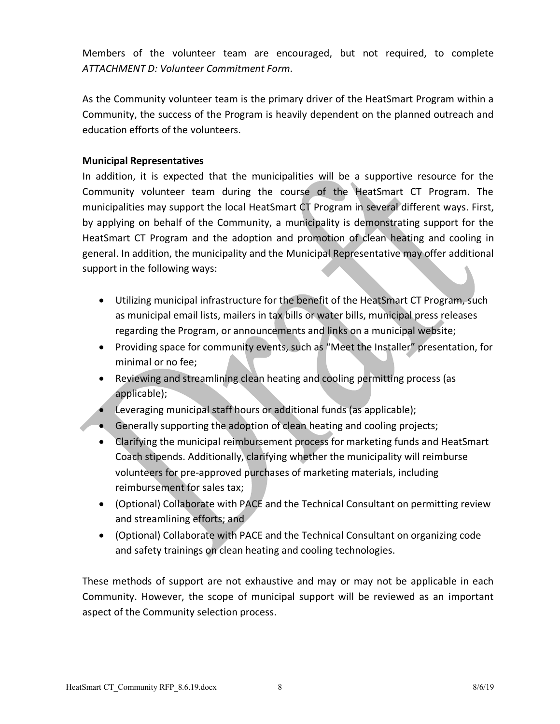Members of the volunteer team are encouraged, but not required, to complete *ATTACHMENT D: Volunteer Commitment Form*.

As the Community volunteer team is the primary driver of the HeatSmart Program within a Community, the success of the Program is heavily dependent on the planned outreach and education efforts of the volunteers.

## **Municipal Representatives**

In addition, it is expected that the municipalities will be a supportive resource for the Community volunteer team during the course of the HeatSmart CT Program. The municipalities may support the local HeatSmart CT Program in several different ways. First, by applying on behalf of the Community, a municipality is demonstrating support for the HeatSmart CT Program and the adoption and promotion of clean heating and cooling in general. In addition, the municipality and the Municipal Representative may offer additional support in the following ways:

- Utilizing municipal infrastructure for the benefit of the HeatSmart CT Program, such as municipal email lists, mailers in tax bills or water bills, municipal press releases regarding the Program, or announcements and links on a municipal website;
- Providing space for community events, such as "Meet the Installer" presentation, for minimal or no fee;
- Reviewing and streamlining clean heating and cooling permitting process (as applicable);
- Leveraging municipal staff hours or additional funds (as applicable);
- Generally supporting the adoption of clean heating and cooling projects;
- Clarifying the municipal reimbursement process for marketing funds and HeatSmart Coach stipends. Additionally, clarifying whether the municipality will reimburse volunteers for pre-approved purchases of marketing materials, including reimbursement for sales tax;
- (Optional) Collaborate with PACE and the Technical Consultant on permitting review and streamlining efforts; and
- (Optional) Collaborate with PACE and the Technical Consultant on organizing code and safety trainings on clean heating and cooling technologies.

These methods of support are not exhaustive and may or may not be applicable in each Community. However, the scope of municipal support will be reviewed as an important aspect of the Community selection process.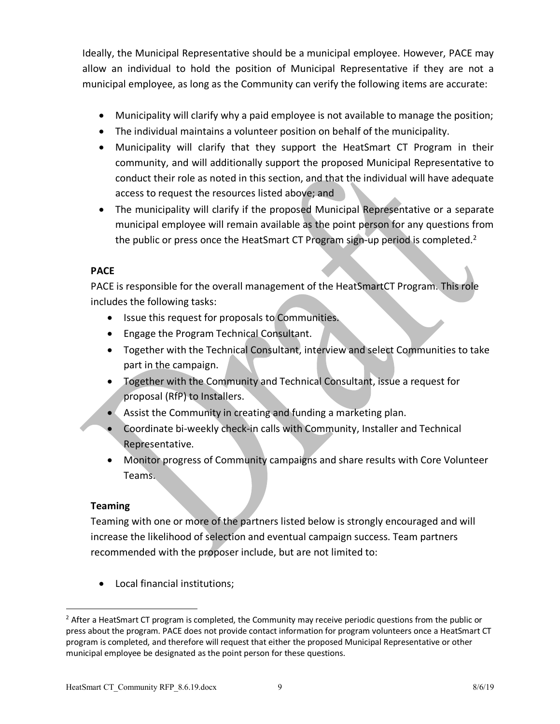Ideally, the Municipal Representative should be a municipal employee. However, PACE may allow an individual to hold the position of Municipal Representative if they are not a municipal employee, as long as the Community can verify the following items are accurate:

- Municipality will clarify why a paid employee is not available to manage the position;
- The individual maintains a volunteer position on behalf of the municipality.
- Municipality will clarify that they support the HeatSmart CT Program in their community, and will additionally support the proposed Municipal Representative to conduct their role as noted in this section, and that the individual will have adequate access to request the resources listed above; and
- The municipality will clarify if the proposed Municipal Representative or a separate municipal employee will remain available as the point person for any questions from the public or press once the HeatSmart CT Program sign-up period is completed.<sup>2</sup>

## **PACE**

PACE is responsible for the overall management of the HeatSmartCT Program. This role includes the following tasks:

- Issue this request for proposals to Communities.
- Engage the Program Technical Consultant.
- Together with the Technical Consultant, interview and select Communities to take part in the campaign.
- Together with the Community and Technical Consultant, issue a request for proposal (RfP) to Installers.
- Assist the Community in creating and funding a marketing plan.
- Coordinate bi-weekly check-in calls with Community, Installer and Technical Representative.
- Monitor progress of Community campaigns and share results with Core Volunteer Teams.

## **Teaming**

 $\overline{a}$ 

Teaming with one or more of the partners listed below is strongly encouraged and will increase the likelihood of selection and eventual campaign success. Team partners recommended with the proposer include, but are not limited to:

• Local financial institutions;

 $<sup>2</sup>$  After a HeatSmart CT program is completed, the Community may receive periodic questions from the public or</sup> press about the program. PACE does not provide contact information for program volunteers once a HeatSmart CT program is completed, and therefore will request that either the proposed Municipal Representative or other municipal employee be designated as the point person for these questions.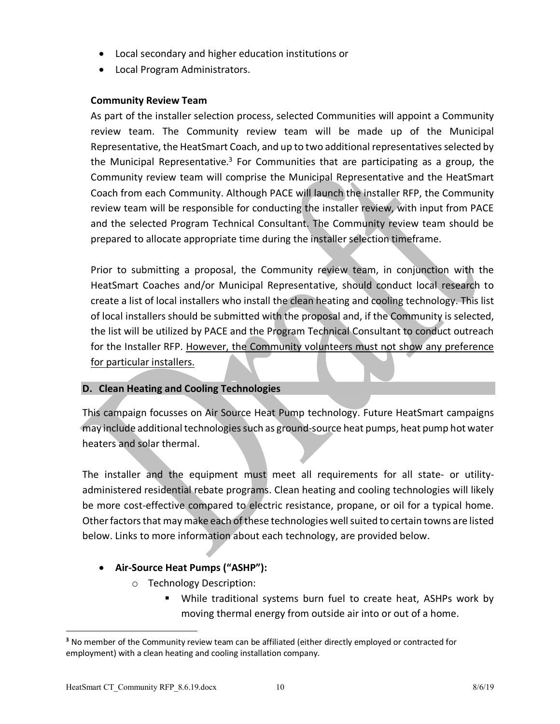- Local secondary and higher education institutions or
- Local Program Administrators.

## **Community Review Team**

As part of the installer selection process, selected Communities will appoint a Community review team. The Community review team will be made up of the Municipal Representative, the HeatSmart Coach, and up to two additional representatives selected by the Municipal Representative.<sup>3</sup> For Communities that are participating as a group, the Community review team will comprise the Municipal Representative and the HeatSmart Coach from each Community. Although PACE will launch the installer RFP, the Community review team will be responsible for conducting the installer review, with input from PACE and the selected Program Technical Consultant. The Community review team should be prepared to allocate appropriate time during the installer selection timeframe.

Prior to submitting a proposal, the Community review team, in conjunction with the HeatSmart Coaches and/or Municipal Representative, should conduct local research to create a list of local installers who install the clean heating and cooling technology. This list of local installers should be submitted with the proposal and, if the Community is selected, the list will be utilized by PACE and the Program Technical Consultant to conduct outreach for the Installer RFP. However, the Community volunteers must not show any preference for particular installers.

## **D. Clean Heating and Cooling Technologies**

This campaign focusses on Air Source Heat Pump technology. Future HeatSmart campaigns may include additional technologies such as ground-source heat pumps, heat pump hot water heaters and solar thermal.

The installer and the equipment must meet all requirements for all state- or utilityadministered residential rebate programs. Clean heating and cooling technologies will likely be more cost-effective compared to electric resistance, propane, or oil for a typical home. Other factors that may make each of these technologies well suited to certain towns are listed below. Links to more information about each technology, are provided below.

## • **Air-Source Heat Pumps ("ASHP"):**

- o Technology Description:
	- § While traditional systems burn fuel to create heat, ASHPs work by moving thermal energy from outside air into or out of a home.

 $\overline{a}$ 

**<sup>3</sup>** No member of the Community review team can be affiliated (either directly employed or contracted for employment) with a clean heating and cooling installation company.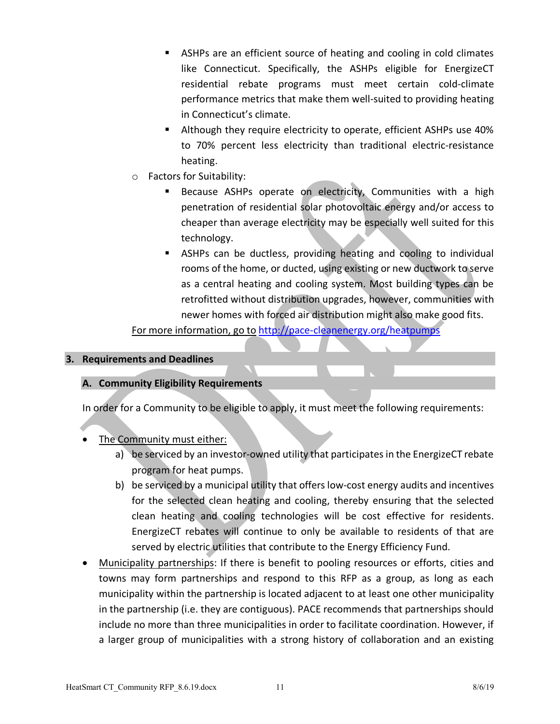- ASHPs are an efficient source of heating and cooling in cold climates like Connecticut. Specifically, the ASHPs eligible for EnergizeCT residential rebate programs must meet certain cold-climate performance metrics that make them well-suited to providing heating in Connecticut's climate.
- Although they require electricity to operate, efficient ASHPs use 40% to 70% percent less electricity than traditional electric-resistance heating.
- o Factors for Suitability:
	- Because ASHPs operate on electricity, Communities with a high penetration of residential solar photovoltaic energy and/or access to cheaper than average electricity may be especially well suited for this technology.
	- ASHPs can be ductless, providing heating and cooling to individual rooms of the home, or ducted, using existing or new ductwork to serve as a central heating and cooling system. Most building types can be retrofitted without distribution upgrades, however, communities with newer homes with forced air distribution might also make good fits.

For more information, go to http://pace-cleanenergy.org/heatpumps

### **3. Requirements and Deadlines**

## **A. Community Eligibility Requirements**

In order for a Community to be eligible to apply, it must meet the following requirements:

- The Community must either:
	- a) be serviced by an investor-owned utility that participates in the EnergizeCT rebate program for heat pumps.
	- b) be serviced by a municipal utility that offers low-cost energy audits and incentives for the selected clean heating and cooling, thereby ensuring that the selected clean heating and cooling technologies will be cost effective for residents. EnergizeCT rebates will continue to only be available to residents of that are served by electric utilities that contribute to the Energy Efficiency Fund.
- Municipality partnerships: If there is benefit to pooling resources or efforts, cities and towns may form partnerships and respond to this RFP as a group, as long as each municipality within the partnership is located adjacent to at least one other municipality in the partnership (i.e. they are contiguous). PACE recommends that partnerships should include no more than three municipalities in order to facilitate coordination. However, if a larger group of municipalities with a strong history of collaboration and an existing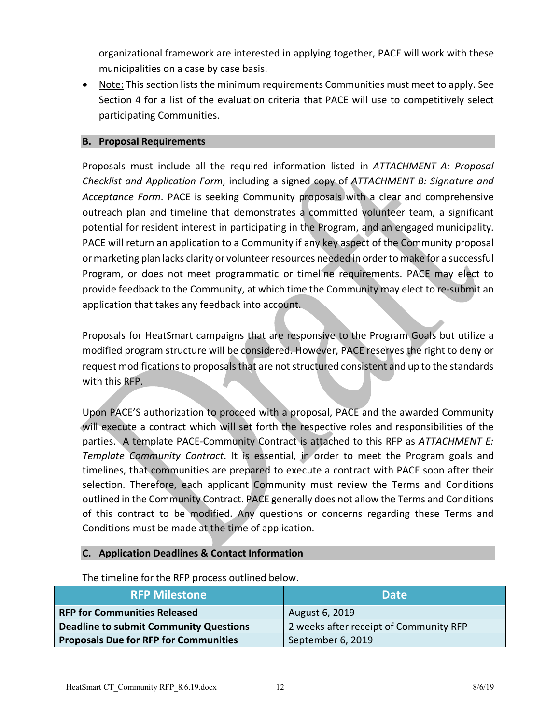organizational framework are interested in applying together, PACE will work with these municipalities on a case by case basis.

• Note: This section lists the minimum requirements Communities must meet to apply. See Section 4 for a list of the evaluation criteria that PACE will use to competitively select participating Communities.

### **B. Proposal Requirements**

Proposals must include all the required information listed in *ATTACHMENT A: Proposal Checklist and Application Form*, including a signed copy of *ATTACHMENT B: Signature and Acceptance Form*. PACE is seeking Community proposals with a clear and comprehensive outreach plan and timeline that demonstrates a committed volunteer team, a significant potential for resident interest in participating in the Program, and an engaged municipality. PACE will return an application to a Community if any key aspect of the Community proposal or marketing plan lacks clarity or volunteer resources needed in order to make for a successful Program, or does not meet programmatic or timeline requirements. PACE may elect to provide feedback to the Community, at which time the Community may elect to re-submit an application that takes any feedback into account.

Proposals for HeatSmart campaigns that are responsive to the Program Goals but utilize a modified program structure will be considered. However, PACE reserves the right to deny or request modifications to proposals that are not structured consistent and up to the standards with this RFP.

Upon PACE'S authorization to proceed with a proposal, PACE and the awarded Community will execute a contract which will set forth the respective roles and responsibilities of the parties. A template PACE-Community Contract is attached to this RFP as *ATTACHMENT E: Template Community Contract*. It is essential, in order to meet the Program goals and timelines, that communities are prepared to execute a contract with PACE soon after their selection. Therefore, each applicant Community must review the Terms and Conditions outlined in the Community Contract. PACE generally does not allow the Terms and Conditions of this contract to be modified. Any questions or concerns regarding these Terms and Conditions must be made at the time of application.

## **C. Application Deadlines & Contact Information**

| <b>RFP Milestone</b>                          | <b>Date</b>                            |
|-----------------------------------------------|----------------------------------------|
| <b>RFP for Communities Released</b>           | August 6, 2019                         |
| <b>Deadline to submit Community Questions</b> | 2 weeks after receipt of Community RFP |
| <b>Proposals Due for RFP for Communities</b>  | September 6, 2019                      |

The timeline for the RFP process outlined below.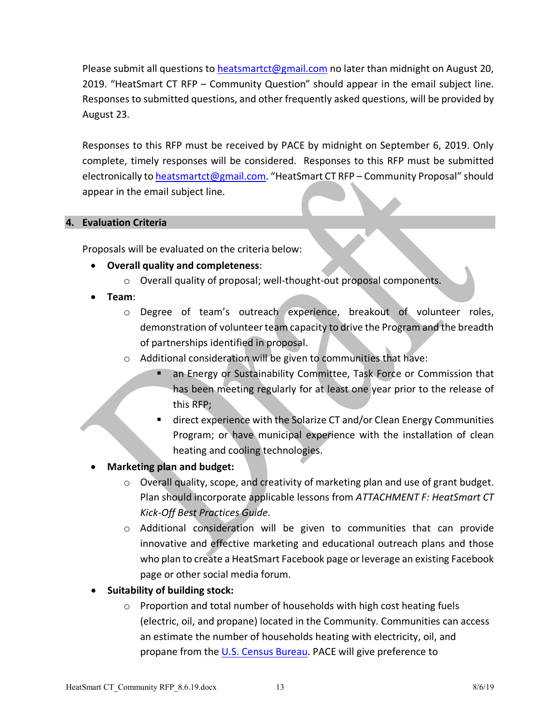Please submit all questions to heatsmartct@gmail.com no later than midnight on August 20, 2019. "HeatSmart CT RFP – Community Question" should appear in the email subject line. Responses to submitted questions, and other frequently asked questions, will be provided by August 23.

Responses to this RFP must be received by PACE by midnight on September 6, 2019. Only complete, timely responses will be considered. Responses to this RFP must be submitted electronically to heatsmartct@gmail.com. "HeatSmart CT RFP - Community Proposal" should appear in the email subject line.

### **4. Evaluation Criteria**

Proposals will be evaluated on the criteria below:

- **Overall quality and completeness**:
	- o Overall quality of proposal; well-thought-out proposal components.
- **Team**:
	- o Degree of team's outreach experience, breakout of volunteer roles, demonstration of volunteer team capacity to drive the Program and the breadth of partnerships identified in proposal.
	- o Additional consideration will be given to communities that have:
		- an Energy or Sustainability Committee, Task Force or Commission that has been meeting regularly for at least one year prior to the release of this RFP;
		- direct experience with the Solarize CT and/or Clean Energy Communities Program; or have municipal experience with the installation of clean heating and cooling technologies.
- **Marketing plan and budget:** 
	- o Overall quality, scope, and creativity of marketing plan and use of grant budget. Plan should incorporate applicable lessons from *ATTACHMENT F: HeatSmart CT Kick-Off Best Practices Guide*.
	- o Additional consideration will be given to communities that can provide innovative and effective marketing and educational outreach plans and those who plan to create a HeatSmart Facebook page or leverage an existing Facebook page or other social media forum.
- **Suitability of building stock:**
	- o Proportion and total number of households with high cost heating fuels (electric, oil, and propane) located in the Community. Communities can access an estimate the number of households heating with electricity, oil, and propane from the U.S. Census Bureau. PACE will give preference to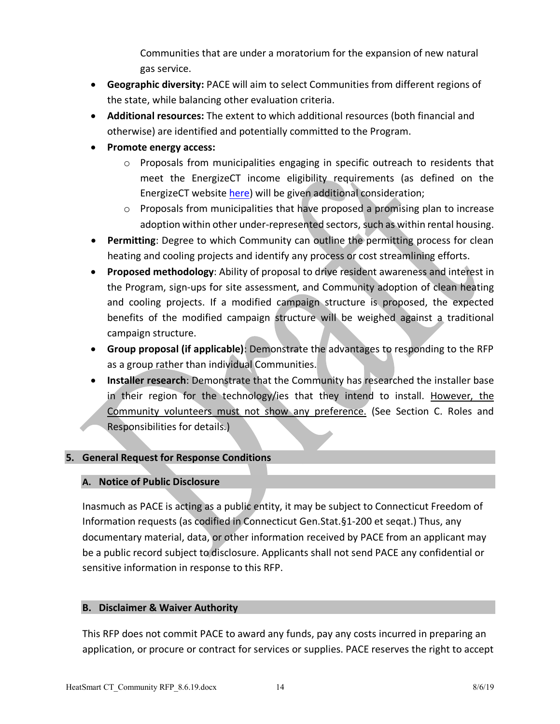Communities that are under a moratorium for the expansion of new natural gas service.

- **Geographic diversity:** PACE will aim to select Communities from different regions of the state, while balancing other evaluation criteria.
- **Additional resources:** The extent to which additional resources (both financial and otherwise) are identified and potentially committed to the Program.
- **Promote energy access:** 
	- o Proposals from municipalities engaging in specific outreach to residents that meet the EnergizeCT income eligibility requirements (as defined on the EnergizeCT website here) will be given additional consideration;
	- $\circ$  Proposals from municipalities that have proposed a promising plan to increase adoption within other under-represented sectors, such as within rental housing.
- **Permitting**: Degree to which Community can outline the permitting process for clean heating and cooling projects and identify any process or cost streamlining efforts.
- **Proposed methodology**: Ability of proposal to drive resident awareness and interest in the Program, sign-ups for site assessment, and Community adoption of clean heating and cooling projects. If a modified campaign structure is proposed, the expected benefits of the modified campaign structure will be weighed against a traditional campaign structure.
- **Group proposal (if applicable)**: Demonstrate the advantages to responding to the RFP as a group rather than individual Communities.
- **Installer research**: Demonstrate that the Community has researched the installer base in their region for the technology/ies that they intend to install. However, the Community volunteers must not show any preference. (See Section C. Roles and Responsibilities for details.)

## **5. General Request for Response Conditions**

## **A. Notice of Public Disclosure**

Inasmuch as PACE is acting as a public entity, it may be subject to Connecticut Freedom of Information requests (as codified in Connecticut Gen.Stat.§1-200 et seqat.) Thus, any documentary material, data, or other information received by PACE from an applicant may be a public record subject to disclosure. Applicants shall not send PACE any confidential or sensitive information in response to this RFP.

## **B. Disclaimer & Waiver Authority**

This RFP does not commit PACE to award any funds, pay any costs incurred in preparing an application, or procure or contract for services or supplies. PACE reserves the right to accept